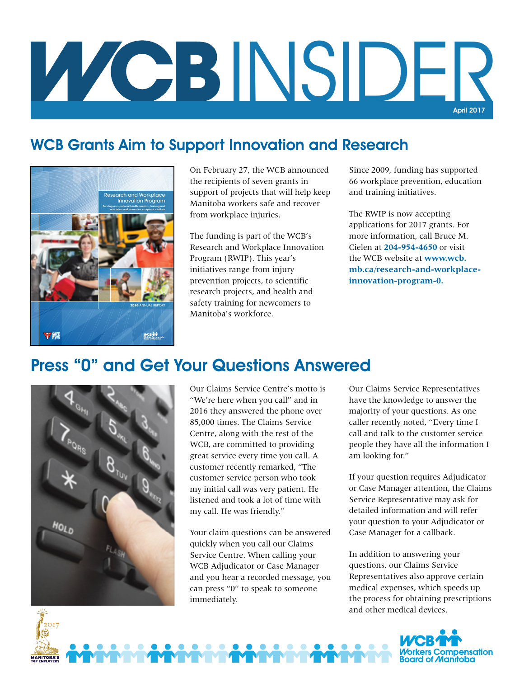## INSIDER April 2017

## WCB Grants Aim to Support Innovation and Research



On February 27, the WCB announced the recipients of seven grants in support of projects that will help keep Manitoba workers safe and recover from workplace injuries.

The funding is part of the WCB's Research and Workplace Innovation Program (RWIP). This year's initiatives range from injury prevention projects, to scientific research projects, and health and safety training for newcomers to Manitoba's workforce.

Since 2009, funding has supported 66 workplace prevention, education and training initiatives.

The RWIP is now accepting applications for 2017 grants. For more information, call Bruce M. Cielen at **204-954-4650** or visit the WCB website at **www.wcb. mb.ca/research-and-workplaceinnovation-program-0.**

## Press "0" and Get Your Questions Answered



Our Claims Service Centre's motto is "We're here when you call" and in 2016 they answered the phone over 85,000 times. The Claims Service Centre, along with the rest of the WCB, are committed to providing great service every time you call. A customer recently remarked, "The customer service person who took my initial call was very patient. He listened and took a lot of time with my call. He was friendly."

Your claim questions can be answered quickly when you call our Claims Service Centre. When calling your WCB Adjudicator or Case Manager and you hear a recorded message, you can press "0" to speak to someone immediately.

Our Claims Service Representatives have the knowledge to answer the majority of your questions. As one caller recently noted, "Every time I call and talk to the customer service people they have all the information I am looking for."

If your question requires Adjudicator or Case Manager attention, the Claims Service Representative may ask for detailed information and will refer your question to your Adjudicator or Case Manager for a callback.

In addition to answering your questions, our Claims Service Representatives also approve certain medical expenses, which speeds up the process for obtaining prescriptions and other medical devices.